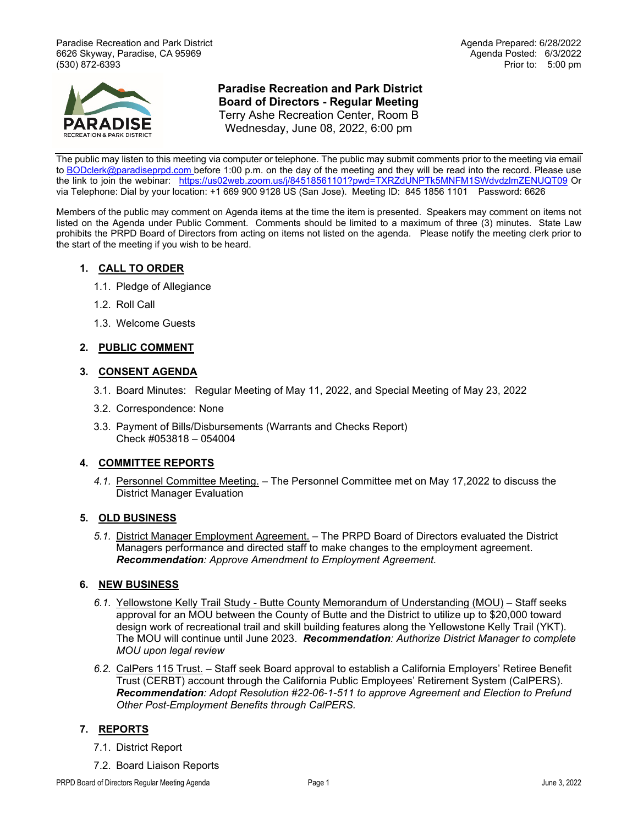Paradise Recreation and Park District Agenda Prepared: 6/28/2022 6626 Skyway, Paradise, CA 95969 (530) 872-6393 Prior to: 5:00 pm



# **Paradise Recreation and Park District Board of Directors - Regular Meeting** Terry Ashe Recreation Center, Room B Wednesday, June 08, 2022, 6:00 pm

The public may listen to this meeting via computer or telephone. The public may submit comments prior to the meeting via email

to [BODclerk@paradiseprpd.com](mailto:BODclerk@paradiseprpd.com) before 1:00 p.m. on the day of the meeting and they will be read into the record. Please use the link to join the webinar: <https://us02web.zoom.us/j/84518561101?pwd=TXRZdUNPTk5MNFM1SWdvdzlmZENUQT09> Or via Telephone: Dial by your location: +1 669 900 9128 US (San Jose). Meeting ID: 845 1856 1101 Password: 6626

Members of the public may comment on Agenda items at the time the item is presented. Speakers may comment on items not listed on the Agenda under Public Comment. Comments should be limited to a maximum of three (3) minutes. State Law prohibits the PRPD Board of Directors from acting on items not listed on the agenda. Please notify the meeting clerk prior to the start of the meeting if you wish to be heard.

## **1. CALL TO ORDER**

- 1.1. Pledge of Allegiance
- 1.2. Roll Call
- 1.3. Welcome Guests

## **2. PUBLIC COMMENT**

### **3. CONSENT AGENDA**

- 3.1. Board Minutes: Regular Meeting of May 11, 2022, and Special Meeting of May 23, 2022
- 3.2. Correspondence: None
- 3.3. Payment of Bills/Disbursements (Warrants and Checks Report) Check #053818 – 054004

### **4. COMMITTEE REPORTS**

*4.1.* Personnel Committee Meeting. – The Personnel Committee met on May 17,2022 to discuss the District Manager Evaluation

### **5. OLD BUSINESS**

*5.1.* District Manager Employment Agreement. – The PRPD Board of Directors evaluated the District Managers performance and directed staff to make changes to the employment agreement. *Recommendation: Approve Amendment to Employment Agreement.*

## **6. NEW BUSINESS**

- *6.1.* Yellowstone Kelly Trail Study Butte County Memorandum of Understanding (MOU) Staff seeks approval for an MOU between the County of Butte and the District to utilize up to \$20,000 toward design work of recreational trail and skill building features along the Yellowstone Kelly Trail (YKT). The MOU will continue until June 2023. *Recommendation: Authorize District Manager to complete MOU upon legal review*
- *6.2.* CalPers 115 Trust. Staff seek Board approval to establish a California Employers' Retiree Benefit Trust (CERBT) account through the California Public Employees' Retirement System (CalPERS). *Recommendation: Adopt Resolution #22-06-1-511 to approve Agreement and Election to Prefund Other Post-Employment Benefits through CalPERS.*

## **7. REPORTS**

- 7.1. District Report
- 7.2. Board Liaison Reports